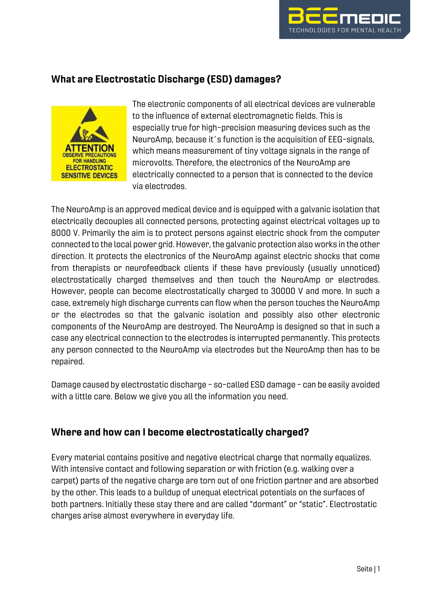

# What are Electrostatic Discharge (ESD) damages?



The electronic components of all electrical devices are vulnerable to the influence of external electromagnetic fields. This is especially true for high-precision measuring devices such as the NeuroAmp, because it´s function is the acquisition of EEG-signals, which means measurement of tiny voltage signals in the range of microvolts. Therefore, the electronics of the NeuroAmp are electrically connected to a person that is connected to the device via electrodes.

The NeuroAmp is an approved medical device and is equipped with a galvanic isolation that electrically decouples all connected persons, protecting against electrical voltages up to 8000 V. Primarily the aim is to protect persons against electric shock from the computer connected to the local power grid. However, the galvanic protection also works in the other direction. It protects the electronics of the NeuroAmp against electric shocks that come from therapists or neurofeedback clients if these have previously (usually unnoticed) electrostatically charged themselves and then touch the NeuroAmp or electrodes. However, people can become electrostatically charged to 30000 V and more. In such a case, extremely high discharge currents can flow when the person touches the NeuroAmp or the electrodes so that the galvanic isolation and possibly also other electronic components of the NeuroAmp are destroyed. The NeuroAmp is designed so that in such a case any electrical connection to the electrodes is interrupted permanently. This protects any person connected to the NeuroAmp via electrodes but the NeuroAmp then has to be repaired.

Damage caused by electrostatic discharge - so-called ESD damage - can be easily avoided with a little care. Below we give you all the information you need.

## Where and how can I become electrostatically charged?

Every material contains positive and negative electrical charge that normally equalizes. With intensive contact and following separation or with friction (e.g. walking over a carpet) parts of the negative charge are torn out of one friction partner and are absorbed by the other. This leads to a buildup of unequal electrical potentials on the surfaces of both partners. Initially these stay there and are called "dormant" or "static". Electrostatic charges arise almost everywhere in everyday life.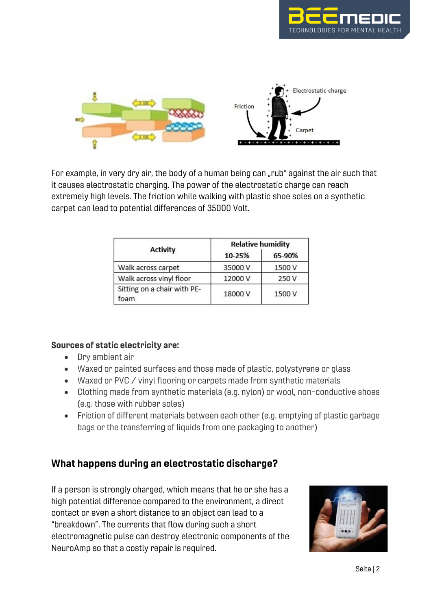



For example, in very dry air, the body of a human being can "rub" against the air such that it causes electrostatic charging. The power of the electrostatic charge can reach extremely high levels. The friction while walking with plastic shoe soles on a synthetic carpet can lead to potential differences of 35000 Volt.

| <b>Activity</b>                     | <b>Relative humidity</b> |        |
|-------------------------------------|--------------------------|--------|
|                                     | 10-25%                   | 65-90% |
| Walk across carpet                  | 35000V                   | 1500 V |
| Walk across vinyl floor             | 12000 V                  | 250 V  |
| Sitting on a chair with PE-<br>foam | 18000V                   | 1500 V |

#### Sources of static electricity are:

- Dry ambient air
- Waxed or painted surfaces and those made of plastic, polystyrene or glass
- Waxed or PVC / vinyl flooring or carpets made from synthetic materials
- Clothing made from synthetic materials (e.g. nylon) or wool, non-conductive shoes (e.g. those with rubber soles)
- Friction of different materials between each other (e.g. emptying of plastic garbage bags or the transferring of liquids from one packaging to another)

## What happens during an electrostatic discharge?

If a person is strongly charged, which means that he or she has a high potential difference compared to the environment, a direct contact or even a short distance to an object can lead to a "breakdown". The currents that flow during such a short electromagnetic pulse can destroy electronic components of the NeuroAmp so that a costly repair is required.

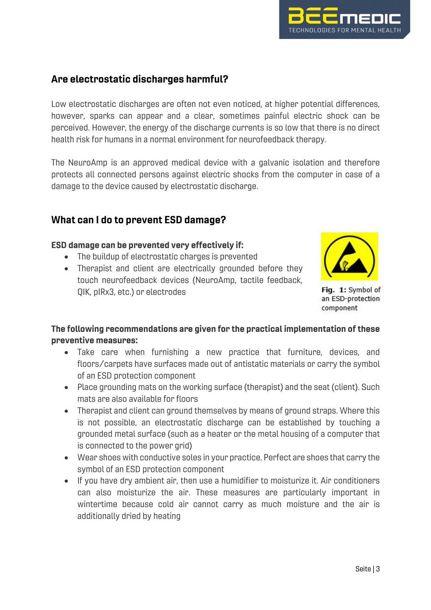

# Are electrostatic discharges harmful?

Low electrostatic discharges are often not even noticed, at higher potential differences, however, sparks can appear and a clear, sometimes painful electric shock can be perceived. However, the energy of the discharge currents is so low that there is no direct health risk for humans in a normal environment for neurofeedback therapy.

The NeuroAmp is an approved medical device with a galvanic isolation and therefore protects all connected persons against electric shocks from the computer in case of a damage to the device caused by electrostatic discharge.

### What can I do to prevent ESD damage?

#### ESD damage can be prevented very effectively if:

- The buildup of electrostatic charges is prevented
- Therapist and client are electrically grounded before they touch neurofeedback devices (NeuroAmp, tactile feedback, QIK, pIRx3, etc.) or electrodes



Fig. 1: Symbol of an ESD-protection component

### The following recommendations are given for the practical implementation of these preventive measures:

- Take care when furnishing a new practice that furniture, devices, and floors/carpets have surfaces made out of antistatic materials or carry the symbol of an ESD protection component
- Place grounding mats on the working surface (therapist) and the seat (client). Such mats are also available for floors
- Therapist and client can ground themselves by means of ground straps. Where this is not possible, an electrostatic discharge can be established by touching a grounded metal surface (such as a heater or the metal housing of a computer that is connected to the power grid)
- Wear shoes with conductive soles in your practice. Perfect are shoes that carry the symbol of an ESD protection component
- If you have dry ambient air, then use a humidifier to moisturize it. Air conditioners can also moisturize the air. These measures are particularly important in wintertime because cold air cannot carry as much moisture and the air is additionally dried by heating